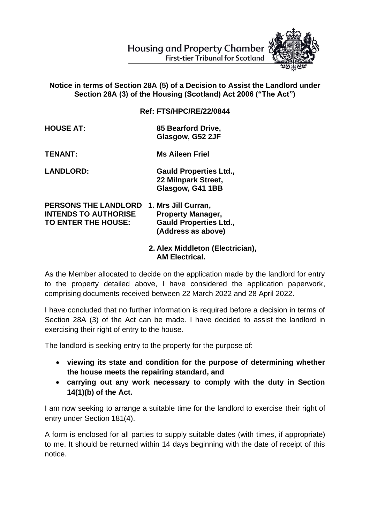

## **Notice in terms of Section 28A (5) of a Decision to Assist the Landlord under Section 28A (3) of the Housing (Scotland) Act 2006 ("The Act")**

**Ref: FTS/HPC/RE/22/0844**

**HOUSE AT: 85 Bearford Drive, Glasgow, G52 2JF**

**TENANT: Ms Aileen Friel**

**LANDLORD: Gauld Properties Ltd., 22 Milnpark Street, Glasgow, G41 1BB**

**PERSONS THE LANDLORD 1. Mrs Jill Curran, INTENDS TO AUTHORISE Property Manager, TO ENTER THE HOUSE: Gauld Properties Ltd., (Address as above)**

> **2. Alex Middleton (Electrician), AM Electrical.**

As the Member allocated to decide on the application made by the landlord for entry to the property detailed above, I have considered the application paperwork, comprising documents received between 22 March 2022 and 28 April 2022.

I have concluded that no further information is required before a decision in terms of Section 28A (3) of the Act can be made. I have decided to assist the landlord in exercising their right of entry to the house.

The landlord is seeking entry to the property for the purpose of:

- **viewing its state and condition for the purpose of determining whether the house meets the repairing standard, and**
- **carrying out any work necessary to comply with the duty in Section 14(1)(b) of the Act.**

I am now seeking to arrange a suitable time for the landlord to exercise their right of entry under Section 181(4).

A form is enclosed for all parties to supply suitable dates (with times, if appropriate) to me. It should be returned within 14 days beginning with the date of receipt of this notice.